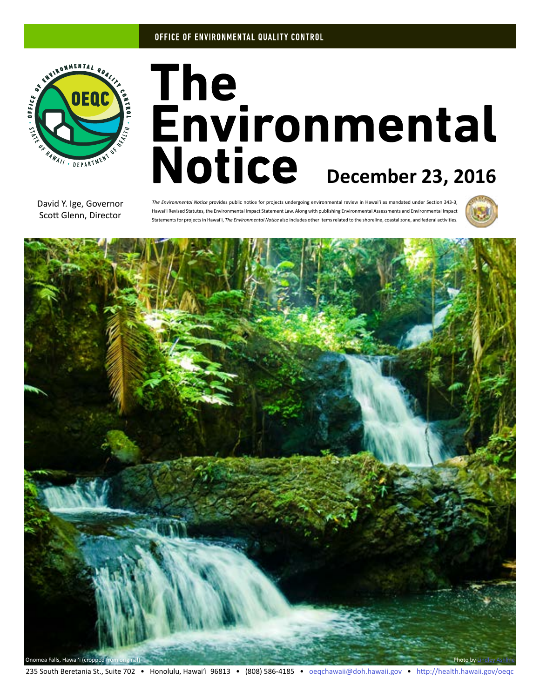### OFFICE OF ENVIRONMENTAL QUALITY CONTROL



# The<br>Environmental Notice December 23, 2016

David Y. Ige, Governor Scott Glenn, Director

*The Environmental Notice* provides public notice for projects undergoing environmental review in Hawaiʻi as mandated under Section 343-3, Hawaiʻi Revised Statutes, the Environmental Impact Statement Law. Along with publishing Environmental Assessments and Environmental Impact Statements for projects in Hawaiʻi, *The Environmental Notice* also includes other items related to the shoreline, coastal zone, and federal activities.



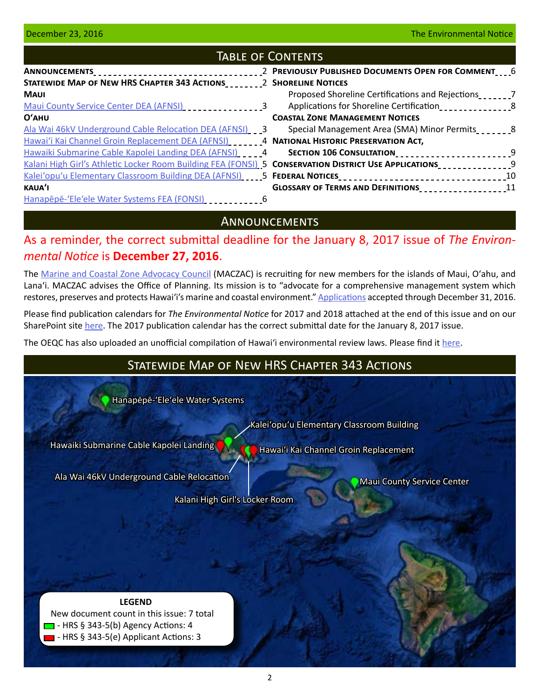## Table of Contents

| ANNOUNCEMENTS___________________________________                                                      | 2 PREVIOUSLY PUBLISHED DOCUMENTS OPEN FOR COMMENT __ 6 |  |
|-------------------------------------------------------------------------------------------------------|--------------------------------------------------------|--|
| STATEWIDE MAP OF NEW HRS CHAPTER 343 ACTIONS 2 SHORELINE NOTICES                                      |                                                        |  |
| <b>MAUI</b>                                                                                           | Proposed Shoreline Certifications and Rejections       |  |
| Maui County Service Center DEA (AFNSI)                                                                | Applications for Shoreline Certification               |  |
| $O'$ AHU                                                                                              | <b>COASTAL ZONE MANAGEMENT NOTICES</b>                 |  |
| Ala Wai 46kV Underground Cable Relocation DEA (AFNSI) 3                                               | Special Management Area (SMA) Minor Permits            |  |
| Hawai'i Kai Channel Groin Replacement DEA (AFNSI)                                                     | 4 NATIONAL HISTORIC PRESERVATION ACT,                  |  |
| Hawaiki Submarine Cable Kapolei Landing DEA (AFNSI) [14]                                              | SECTION 106 CONSULTATION________________________9      |  |
| Kalani High Girl's Athletic Locker Room Building FEA (FONSI) 5 CONSERVATION DISTRICT USE APPLICATIONS |                                                        |  |
| Kalei'opu'u Elementary Classroom Building DEA (AFNSI)                                                 |                                                        |  |
| <b>KAUA'I</b>                                                                                         | GLOSSARY OF TERMS AND DEFINITIONS<br>11                |  |
| Hanapepe-'Ele'ele Water Systems FEA (FONSI)                                                           |                                                        |  |

## **ANNOUNCEMENTS**

# As a reminder, the correct submittal deadline for the January 8, 2017 issue of *The Environmental Notice* is **December 27, 2016**.

The [Marine and Coastal Zone Advocacy Council](http://planning.hawaii.gov/czm/maczac/) (MACZAC) is recruiting for new members for the islands of Maui, O'ahu, and Lanaʻi. MACZAC advises the Office of Planning. Its mission is to "advocate for a comprehensive management system which restores, preserves and protects Hawaiʻi's marine and coastal environment." [Applications](http://files.hawaii.gov/dbedt/op/czm/maczac/recruitment/maczac_application_2016.pdf) accepted through December 31, 2016.

Please find publication calendars for *The Environmental Notice* for 2017 and 2018 attached at the end of this issue and on our SharePoint site [here.](http://oeqc.doh.hawaii.gov/default.aspx?RootFolder=%2fShared%20Documents%2fPreparation_of_Hawaii_Environmental_Policy_Act_Documents&View=%7bF4E3E6A9-2607-49FC-B7A5-2928B79F10B4%7d) The 2017 publication calendar has the correct submittal date for the January 8, 2017 issue.

The OEQC has also uploaded an unofficial compilation of Hawaiʻi environmental review laws. Please find it [here.](http://oeqc.doh.hawaii.gov/Shared%20Documents/Preparation_of_Hawaii_Environmental_Policy_Act_Documents/Hawaii%20EIS%20Laws%20Unofficial%20Compilation%202016-11-07.pdf)

# Statewide Map of New HRS Chapter 343 Actions

[Hanapēpē-ʻEleʻele Water Systems](#page-5-0)

[Hawaiki Submarine Cable Kapolei Landing](#page-3-0)

[Kaleiʻopuʻu Elementary Classroom Building](#page-4-0)

[Hawaiʻi Kai Channel Groin Replacement](#page-3-0)

[Ala Wai 46kV Underground Cable Relocation](#page-2-0)

[Maui County Service Center](#page-2-0)

[Kalani High Girl's Locker Room](#page-4-0)

**LEGEND** New document count in this issue: 7 total  $\Box$  - HRS § 343-5(b) Agency Actions: 4 **- HRS § 343-5(e) Applicant Actions: 3**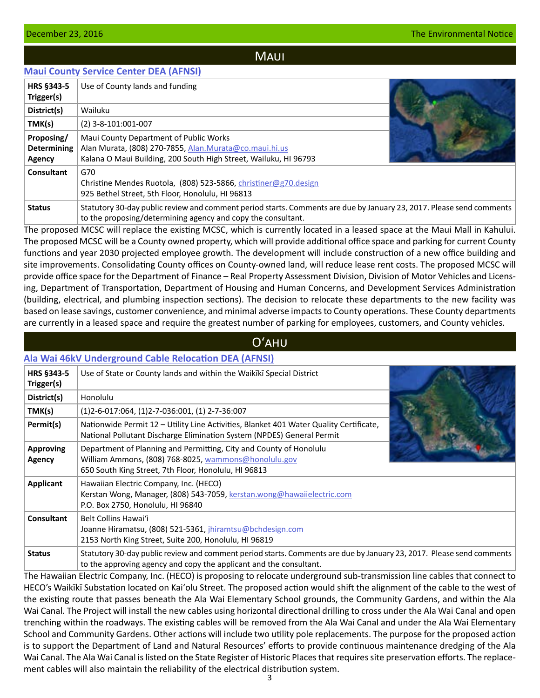## **MAUI**

## <span id="page-2-0"></span>**[Maui County Service Center DEA \(AFNSI\)](http://oeqc.doh.hawaii.gov/Shared%20Documents/EA_and_EIS_Online_Library/Maui/2010s/2016-12-23-MA-5B-DEA-Maui-County-Service-Center.pdf)**

| <b>HRS §343-5</b><br>Trigger(s)            | Use of County lands and funding                                                                                                                                                      |  |
|--------------------------------------------|--------------------------------------------------------------------------------------------------------------------------------------------------------------------------------------|--|
| District(s)                                | Wailuku                                                                                                                                                                              |  |
| TMK(s)                                     | $(2)$ 3-8-101:001-007                                                                                                                                                                |  |
| Proposing/<br><b>Determining</b><br>Agency | Maui County Department of Public Works<br>Alan Murata, (808) 270-7855, Alan.Murata@co.maui.hi.us<br>Kalana O Maui Building, 200 South High Street, Wailuku, HI 96793                 |  |
| Consultant                                 | G70<br>Christine Mendes Ruotola, (808) 523-5866, christiner@g70.design<br>925 Bethel Street, 5th Floor, Honolulu, HI 96813                                                           |  |
| <b>Status</b>                              | Statutory 30-day public review and comment period starts. Comments are due by January 23, 2017. Please send comments<br>to the proposing/determining agency and copy the consultant. |  |

The proposed MCSC will replace the existing MCSC, which is currently located in a leased space at the Maui Mall in Kahului. The proposed MCSC will be a County owned property, which will provide additional office space and parking for current County functions and year 2030 projected employee growth. The development will include construction of a new office building and site improvements. Consolidating County offices on County-owned land, will reduce lease rent costs. The proposed MCSC will provide office space for the Department of Finance – Real Property Assessment Division, Division of Motor Vehicles and Licensing, Department of Transportation, Department of Housing and Human Concerns, and Development Services Administration (building, electrical, and plumbing inspection sections). The decision to relocate these departments to the new facility was based on lease savings, customer convenience, and minimal adverse impacts to County operations. These County departments are currently in a leased space and require the greatest number of parking for employees, customers, and County vehicles.

## Oʻahu

# **[Ala Wai 46kV Underground Cable Relocation DEA \(AFNSI\)](http://oeqc.doh.hawaii.gov/Shared%20Documents/EA_and_EIS_Online_Library/Oahu/2010s/2016-12-23-OA-5E-DEA-Ala-Wai-46kV-Cable-Relocation.pdf)**

| <b>HRS §343-5</b>          | Use of State or County lands and within the Waikiki Special District                                                                                                                       |  |
|----------------------------|--------------------------------------------------------------------------------------------------------------------------------------------------------------------------------------------|--|
| Trigger(s)                 |                                                                                                                                                                                            |  |
| District(s)                | Honolulu                                                                                                                                                                                   |  |
| TMK(s)                     | $(1)$ 2-6-017:064, $(1)$ 2-7-036:001, $(1)$ 2-7-36:007                                                                                                                                     |  |
| Permit(s)                  | Nationwide Permit 12 - Utility Line Activities, Blanket 401 Water Quality Certificate,<br>National Pollutant Discharge Elimination System (NPDES) General Permit                           |  |
| <b>Approving</b><br>Agency | Department of Planning and Permitting, City and County of Honolulu<br>William Ammons, (808) 768-8025, wammons@honolulu.gov<br>650 South King Street, 7th Floor, Honolulu, HI 96813         |  |
| <b>Applicant</b>           | Hawaiian Electric Company, Inc. (HECO)<br>Kerstan Wong, Manager, (808) 543-7059, kerstan.wong@hawaiielectric.com<br>P.O. Box 2750, Honolulu, HI 96840                                      |  |
| Consultant                 | Belt Collins Hawai'i<br>Joanne Hiramatsu, (808) 521-5361, jhiramtsu@bchdesign.com<br>2153 North King Street, Suite 200, Honolulu, HI 96819                                                 |  |
| <b>Status</b>              | Statutory 30-day public review and comment period starts. Comments are due by January 23, 2017. Please send comments<br>to the approving agency and copy the applicant and the consultant. |  |

The Hawaiian Electric Company, Inc. (HECO) is proposing to relocate underground sub-transmission line cables that connect to HECO's Waikīkī Substation located on Kaiʻolu Street. The proposed action would shift the alignment of the cable to the west of the existing route that passes beneath the Ala Wai Elementary School grounds, the Community Gardens, and within the Ala Wai Canal. The Project will install the new cables using horizontal directional drilling to cross under the Ala Wai Canal and open trenching within the roadways. The existing cables will be removed from the Ala Wai Canal and under the Ala Wai Elementary School and Community Gardens. Other actions will include two utility pole replacements. The purpose for the proposed action is to support the Department of Land and Natural Resources' efforts to provide continuous maintenance dredging of the Ala Wai Canal. The Ala Wai Canal is listed on the State Register of Historic Places that requires site preservation efforts. The replacement cables will also maintain the reliability of the electrical distribution system.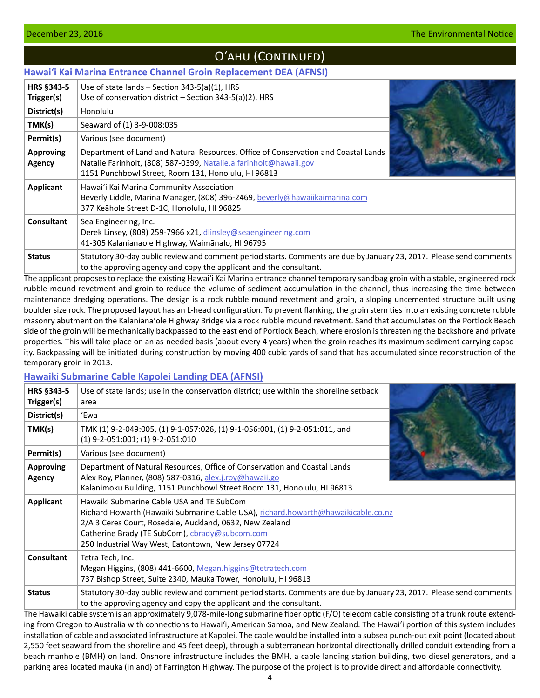# Oʻahu (Continued)

## <span id="page-3-0"></span>**[Hawaiʻi Kai Marina Entrance Channel Groin Replacement DEA \(AFNSI\)](http://oeqc.doh.hawaii.gov/Shared%20Documents/EA_and_EIS_Online_Library/Oahu/2010s/2016-12-23-OA-5E-DEA-Hawaii-Kai-Groin-Replacement.pdf)**

| HRS §343-5<br>Trigger(s)   | Use of state lands $-$ Section 343-5(a)(1), HRS<br>Use of conservation district - Section 343-5(a)(2), HRS                                                                                                     |  |
|----------------------------|----------------------------------------------------------------------------------------------------------------------------------------------------------------------------------------------------------------|--|
| District(s)                | Honolulu                                                                                                                                                                                                       |  |
| TMK(s)                     | Seaward of (1) 3-9-008:035                                                                                                                                                                                     |  |
| Permit(s)                  | Various (see document)                                                                                                                                                                                         |  |
| <b>Approving</b><br>Agency | Department of Land and Natural Resources, Office of Conservation and Coastal Lands<br>Natalie Farinholt, (808) 587-0399, Natalie.a.farinholt@hawaii.gov<br>1151 Punchbowl Street, Room 131, Honolulu, HI 96813 |  |
| Applicant                  | Hawai'i Kai Marina Community Association<br>Beverly Liddle, Marina Manager, (808) 396-2469, beverly@hawaiikaimarina.com<br>377 Keāhole Street D-1C, Honolulu, HI 96825                                         |  |
| <b>Consultant</b>          | Sea Engineering, Inc.<br>Derek Linsey, (808) 259-7966 x21, dlinsley@seaengineering.com<br>41-305 Kalanianaole Highway, Waimānalo, HI 96795                                                                     |  |
| <b>Status</b>              | Statutory 30-day public review and comment period starts. Comments are due by January 23, 2017. Please send comments<br>to the approving agency and copy the applicant and the consultant.                     |  |

The applicant proposes to replace the existing Hawaiʻi Kai Marina entrance channel temporary sandbag groin with a stable, engineered rock rubble mound revetment and groin to reduce the volume of sediment accumulation in the channel, thus increasing the time between maintenance dredging operations. The design is a rock rubble mound revetment and groin, a sloping uncemented structure built using boulder size rock. The proposed layout has an L-head configuration. To prevent flanking, the groin stem ties into an existing concrete rubble masonry abutment on the Kalanianaʻole Highway Bridge via a rock rubble mound revetment. Sand that accumulates on the Portlock Beach side of the groin will be mechanically backpassed to the east end of Portlock Beach, where erosion is threatening the backshore and private properties. This will take place on an as-needed basis (about every 4 years) when the groin reaches its maximum sediment carrying capacity. Backpassing will be initiated during construction by moving 400 cubic yards of sand that has accumulated since reconstruction of the temporary groin in 2013.

#### **[Hawaiki Submarine Cable Kapolei Landing DEA \(AFNSI\)](http://oeqc.doh.hawaii.gov/Shared%20Documents/EA_and_EIS_Online_Library/Oahu/2010s/2016-12-23-OA-5E-DEA-Hawaiki-Submarine-Cable-Kapolei-Landing.pdf)**

| <b>HRS §343-5</b><br>Trigger(s) | Use of state lands; use in the conservation district; use within the shoreline setback<br>area                                                                                                                                                                                                       |  |
|---------------------------------|------------------------------------------------------------------------------------------------------------------------------------------------------------------------------------------------------------------------------------------------------------------------------------------------------|--|
| District(s)                     | 'Ewa                                                                                                                                                                                                                                                                                                 |  |
| TMK(s)                          | TMK (1) 9-2-049:005, (1) 9-1-057:026, (1) 9-1-056:001, (1) 9-2-051:011, and<br>$(1)$ 9-2-051:001; (1) 9-2-051:010                                                                                                                                                                                    |  |
| Permit(s)                       | Various (see document)                                                                                                                                                                                                                                                                               |  |
| <b>Approving</b><br>Agency      | Department of Natural Resources, Office of Conservation and Coastal Lands<br>Alex Roy, Planner, (808) 587-0316, alex.j.roy@hawaii.go<br>Kalanimoku Building, 1151 Punchbowl Street Room 131, Honolulu, HI 96813                                                                                      |  |
| Applicant                       | Hawaiki Submarine Cable USA and TE SubCom<br>Richard Howarth (Hawaiki Submarine Cable USA), richard.howarth@hawaikicable.co.nz<br>2/A 3 Ceres Court, Rosedale, Auckland, 0632, New Zealand<br>Catherine Brady (TE SubCom), cbrady@subcom.com<br>250 Industrial Way West, Eatontown, New Jersey 07724 |  |
| Consultant                      | Tetra Tech, Inc.<br>Megan Higgins, (808) 441-6600, Megan.higgins@tetratech.com<br>737 Bishop Street, Suite 2340, Mauka Tower, Honolulu, HI 96813                                                                                                                                                     |  |
| <b>Status</b>                   | Statutory 30-day public review and comment period starts. Comments are due by January 23, 2017. Please send comments<br>to the approving agency and copy the applicant and the consultant.                                                                                                           |  |

The Hawaiki cable system is an approximately 9,078-mile-long submarine fiber optic (F/O) telecom cable consisting of a trunk route extending from Oregon to Australia with connections to Hawaiʻi, American Samoa, and New Zealand. The Hawai'i portion of this system includes installation of cable and associated infrastructure at Kapolei. The cable would be installed into a subsea punch-out exit point (located about 2,550 feet seaward from the shoreline and 45 feet deep), through a subterranean horizontal directionally drilled conduit extending from a beach manhole (BMH) on land. Onshore infrastructure includes the BMH, a cable landing station building, two diesel generators, and a parking area located mauka (inland) of Farrington Highway. The purpose of the project is to provide direct and affordable connectivity.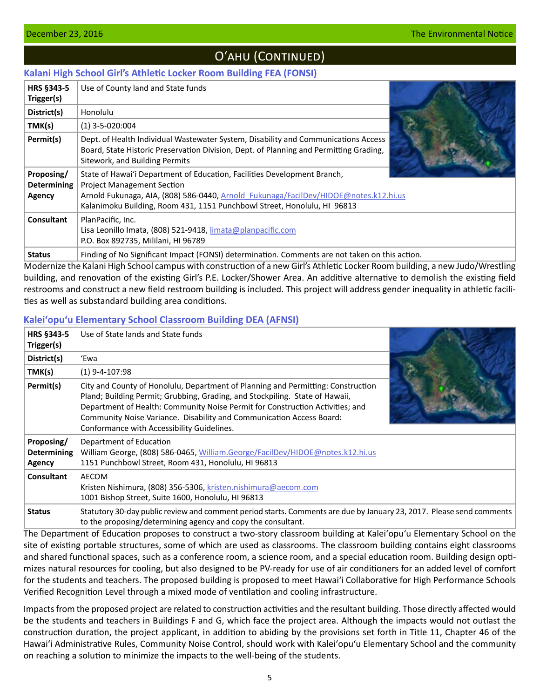# O'AHU (CONTINUED)

## <span id="page-4-0"></span>**[Kalani High School Girl's Athletic Locker Room Building FEA \(FONSI\)](http://oeqc.doh.hawaii.gov/Shared%20Documents/EA_and_EIS_Online_Library/Oahu/2010s/2016-12-23-OA-5B-FEA-Kalani-High-Girls-Locker-Room.pdf)**

| HRS §343-5<br>Trigger(s)                   | Use of County land and State funds                                                                                                                                                                                                                                                |  |
|--------------------------------------------|-----------------------------------------------------------------------------------------------------------------------------------------------------------------------------------------------------------------------------------------------------------------------------------|--|
|                                            | Honolulu                                                                                                                                                                                                                                                                          |  |
| District(s)                                |                                                                                                                                                                                                                                                                                   |  |
| TMK(s)                                     | $(1)$ 3-5-020:004                                                                                                                                                                                                                                                                 |  |
| Permit(s)                                  | Dept. of Health Individual Wastewater System, Disability and Communications Access<br>Board, State Historic Preservation Division, Dept. of Planning and Permitting Grading,<br>Sitework, and Building Permits                                                                    |  |
| Proposing/<br><b>Determining</b><br>Agency | State of Hawai'i Department of Education, Facilities Development Branch,<br><b>Project Management Section</b><br>Arnold Fukunaga, AIA, (808) 586-0440, Arnold Fukunaga/FacilDev/HIDOE@notes.k12.hi.us<br>Kalanimoku Building, Room 431, 1151 Punchbowl Street, Honolulu, HI 96813 |  |
| Consultant                                 | PlanPacific, Inc.<br>Lisa Leonillo Imata, (808) 521-9418, limata@planpacific.com<br>P.O. Box 892735, Mililani, HI 96789                                                                                                                                                           |  |
| <b>Status</b>                              | Finding of No Significant Impact (FONSI) determination. Comments are not taken on this action.                                                                                                                                                                                    |  |

Modernize the Kalani High School campus with construction of a new Girl's Athletic Locker Room building, a new Judo/Wrestling building, and renovation of the existing Girl's P.E. Locker/Shower Area. An additive alternative to demolish the existing field restrooms and construct a new field restroom building is included. This project will address gender inequality in athletic facilities as well as substandard building area conditions.

## **[Kaleiʻopuʻu Elementary School Classroom Building DEA \(AFNSI\)](http://oeqc.doh.hawaii.gov/Shared%20Documents/EA_and_EIS_Online_Library/Oahu/2010s/2016-12-23-OA-5B-DEA-Kaleiopuu-Elementary-Classroom-Building.pdf)**

| <b>HRS §343-5</b><br>Trigger(s)            | Use of State lands and State funds                                                                                                                                                                                                                                                                                                                                      |  |
|--------------------------------------------|-------------------------------------------------------------------------------------------------------------------------------------------------------------------------------------------------------------------------------------------------------------------------------------------------------------------------------------------------------------------------|--|
| District(s)                                | 'Ewa                                                                                                                                                                                                                                                                                                                                                                    |  |
| TMK(s)                                     | $(1)$ 9-4-107:98                                                                                                                                                                                                                                                                                                                                                        |  |
| Permit(s)                                  | City and County of Honolulu, Department of Planning and Permitting: Construction<br>Pland; Building Permit; Grubbing, Grading, and Stockpiling. State of Hawaii,<br>Department of Health: Community Noise Permit for Construction Activities; and<br>Community Noise Variance. Disability and Communication Access Board:<br>Conformance with Accessibility Guidelines. |  |
| Proposing/<br><b>Determining</b><br>Agency | Department of Education<br>William George, (808) 586-0465, William.George/FacilDev/HIDOE@notes.k12.hi.us<br>1151 Punchbowl Street, Room 431, Honolulu, HI 96813                                                                                                                                                                                                         |  |
| <b>Consultant</b>                          | <b>AECOM</b><br>Kristen Nishimura, (808) 356-5306, kristen.nishimura@aecom.com<br>1001 Bishop Street, Suite 1600, Honolulu, HI 96813                                                                                                                                                                                                                                    |  |
| <b>Status</b>                              | Statutory 30-day public review and comment period starts. Comments are due by January 23, 2017. Please send comments<br>to the proposing/determining agency and copy the consultant.                                                                                                                                                                                    |  |

The Department of Education proposes to construct a two-story classroom building at Kaleiʻopuʻu Elementary School on the site of existing portable structures, some of which are used as classrooms. The classroom building contains eight classrooms and shared functional spaces, such as a conference room, a science room, and a special education room. Building design optimizes natural resources for cooling, but also designed to be PV-ready for use of air conditioners for an added level of comfort for the students and teachers. The proposed building is proposed to meet Hawaiʻi Collaborative for High Performance Schools Verified Recognition Level through a mixed mode of ventilation and cooling infrastructure.

Impacts from the proposed project are related to construction activities and the resultant building. Those directly affected would be the students and teachers in Buildings F and G, which face the project area. Although the impacts would not outlast the construction duration, the project applicant, in addition to abiding by the provisions set forth in Title 11, Chapter 46 of the Hawaiʻi Administrative Rules, Community Noise Control, should work with Kaleiʻopuʻu Elementary School and the community on reaching a solution to minimize the impacts to the well-being of the students.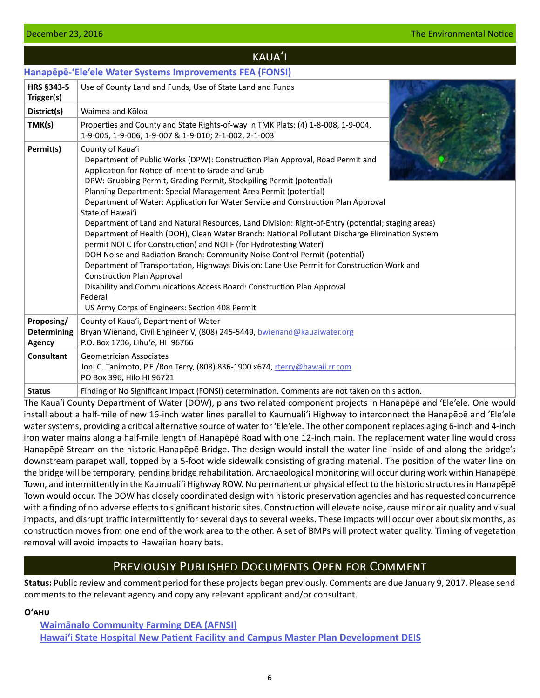#### <span id="page-5-0"></span>**December 23, 2016 The Environmental Notice Algebra 23, 2016 The Environmental Notice Algebra 23, 2016**

|                                            | KAUA'I                                                                                                                                                                                                                                                                                                                                                                                                                                                                                                                                                                                                                                                                                                                                                                                                                                                                                                                                                                                                                                             |  |
|--------------------------------------------|----------------------------------------------------------------------------------------------------------------------------------------------------------------------------------------------------------------------------------------------------------------------------------------------------------------------------------------------------------------------------------------------------------------------------------------------------------------------------------------------------------------------------------------------------------------------------------------------------------------------------------------------------------------------------------------------------------------------------------------------------------------------------------------------------------------------------------------------------------------------------------------------------------------------------------------------------------------------------------------------------------------------------------------------------|--|
|                                            | Hanapēpē-'Ele'ele Water Systems Improvements FEA (FONSI)                                                                                                                                                                                                                                                                                                                                                                                                                                                                                                                                                                                                                                                                                                                                                                                                                                                                                                                                                                                           |  |
| HRS §343-5<br>Trigger(s)                   | Use of County Land and Funds, Use of State Land and Funds                                                                                                                                                                                                                                                                                                                                                                                                                                                                                                                                                                                                                                                                                                                                                                                                                                                                                                                                                                                          |  |
| District(s)                                | Waimea and Kōloa                                                                                                                                                                                                                                                                                                                                                                                                                                                                                                                                                                                                                                                                                                                                                                                                                                                                                                                                                                                                                                   |  |
| TMK(s)                                     | Properties and County and State Rights-of-way in TMK Plats: (4) 1-8-008, 1-9-004,<br>1-9-005, 1-9-006, 1-9-007 & 1-9-010; 2-1-002, 2-1-003                                                                                                                                                                                                                                                                                                                                                                                                                                                                                                                                                                                                                                                                                                                                                                                                                                                                                                         |  |
| Permit(s)                                  | County of Kaua'i<br>Department of Public Works (DPW): Construction Plan Approval, Road Permit and<br>Application for Notice of Intent to Grade and Grub<br>DPW: Grubbing Permit, Grading Permit, Stockpiling Permit (potential)<br>Planning Department: Special Management Area Permit (potential)<br>Department of Water: Application for Water Service and Construction Plan Approval<br>State of Hawai'i<br>Department of Land and Natural Resources, Land Division: Right-of-Entry (potential; staging areas)<br>Department of Health (DOH), Clean Water Branch: National Pollutant Discharge Elimination System<br>permit NOI C (for Construction) and NOI F (for Hydrotesting Water)<br>DOH Noise and Radiation Branch: Community Noise Control Permit (potential)<br>Department of Transportation, Highways Division: Lane Use Permit for Construction Work and<br><b>Construction Plan Approval</b><br>Disability and Communications Access Board: Construction Plan Approval<br>Federal<br>US Army Corps of Engineers: Section 408 Permit |  |
| Proposing/<br><b>Determining</b><br>Agency | County of Kaua'i, Department of Water<br>Bryan Wienand, Civil Engineer V, (808) 245-5449, bwienand@kauaiwater.org<br>P.O. Box 1706, Līhu'e, HI 96766                                                                                                                                                                                                                                                                                                                                                                                                                                                                                                                                                                                                                                                                                                                                                                                                                                                                                               |  |
| <b>Consultant</b>                          | <b>Geometrician Associates</b><br>Joni C. Tanimoto, P.E./Ron Terry, (808) 836-1900 x674, rterry@hawaii.rr.com<br>PO Box 396, Hilo HI 96721                                                                                                                                                                                                                                                                                                                                                                                                                                                                                                                                                                                                                                                                                                                                                                                                                                                                                                         |  |
| <b>Status</b>                              | Finding of No Significant Impact (FONSI) determination. Comments are not taken on this action.                                                                                                                                                                                                                                                                                                                                                                                                                                                                                                                                                                                                                                                                                                                                                                                                                                                                                                                                                     |  |

The Kaua'i County Department of Water (DOW), plans two related component projects in Hanapēpē and 'Ele'ele. One would install about a half-mile of new 16-inch water lines parallel to Kaumuali'i Highway to interconnect the Hanapēpē and 'Ele'ele water systems, providing a critical alternative source of water for 'Ele'ele. The other component replaces aging 6-inch and 4-inch iron water mains along a half-mile length of Hanapēpē Road with one 12-inch main. The replacement water line would cross Hanapēpē Stream on the historic Hanapēpē Bridge. The design would install the water line inside of and along the bridge's downstream parapet wall, topped by a 5-foot wide sidewalk consisting of grating material. The position of the water line on the bridge will be temporary, pending bridge rehabilitation. Archaeological monitoring will occur during work within Hanapēpē Town, and intermittently in the Kaumuali'i Highway ROW. No permanent or physical effect to the historic structures in Hanapēpē Town would occur. The DOW has closely coordinated design with historic preservation agencies and has requested concurrence with a finding of no adverse effects to significant historic sites. Construction will elevate noise, cause minor air quality and visual impacts, and disrupt traffic intermittently for several days to several weeks. These impacts will occur over about six months, as construction moves from one end of the work area to the other. A set of BMPs will protect water quality. Timing of vegetation removal will avoid impacts to Hawaiian hoary bats.

## Previously Published Documents Open for Comment

**Status:** Public review and comment period for these projects began previously. Comments are due January 9, 2017. Please send comments to the relevant agency and copy any relevant applicant and/or consultant.

**Oʻahu**

**[Waimānalo Community Farming DEA \(AFNSI\)](http://oeqc.doh.hawaii.gov/Shared%20Documents/EA_and_EIS_Online_Library/Oahu/2010s/2016-12-08-OA-5E-DEA-Waimanalo-Community-Farming.pdf) [Hawaiʻi State Hospital New Patient Facility and Campus Master Plan Development DEIS](http://oeqc.doh.hawaii.gov/Shared%20Documents/EA_and_EIS_Online_Library/Oahu/2010s/2016-11-08-OA-5B-DEIS-Hawaii-State-Hospital-Facility-and-Master-Plan.pdf)**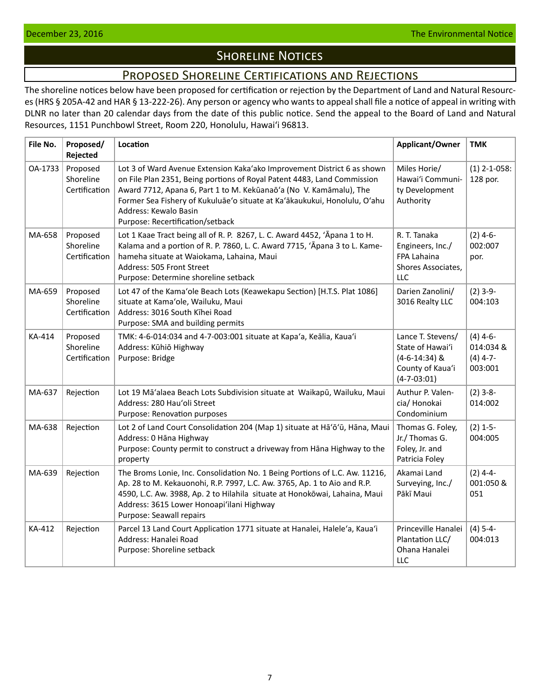# **SHORELINE NOTICES**

## Proposed Shoreline Certifications and Rejections

<span id="page-6-0"></span>The shoreline notices below have been proposed for certification or rejection by the Department of Land and Natural Resources (HRS § 205A-42 and HAR § 13-222-26). Any person or agency who wants to appeal shall file a notice of appeal in writing with DLNR no later than 20 calendar days from the date of this public notice. Send the appeal to the Board of Land and Natural Resources, 1151 Punchbowl Street, Room 220, Honolulu, Hawai'i 96813.

| File No. | Proposed/<br>Rejected                  | Location                                                                                                                                                                                                                                                                                                                                                           | Applicant/Owner                                                                                   | <b>TMK</b>                                       |
|----------|----------------------------------------|--------------------------------------------------------------------------------------------------------------------------------------------------------------------------------------------------------------------------------------------------------------------------------------------------------------------------------------------------------------------|---------------------------------------------------------------------------------------------------|--------------------------------------------------|
| OA-1733  | Proposed<br>Shoreline<br>Certification | Lot 3 of Ward Avenue Extension Kaka'ako Improvement District 6 as shown<br>on File Plan 2351, Being portions of Royal Patent 4483, Land Commission<br>Award 7712, Apana 6, Part 1 to M. Kekūanaō'a (No V. Kamāmalu), The<br>Former Sea Fishery of Kukuluāe'o situate at Ka'ākaukukui, Honolulu, O'ahu<br>Address: Kewalo Basin<br>Purpose: Recertification/setback | Miles Horie/<br>Hawai'i Communi-<br>ty Development<br>Authority                                   | $(1)$ 2-1-058:<br>128 por.                       |
| MA-658   | Proposed<br>Shoreline<br>Certification | Lot 1 Kaae Tract being all of R. P. 8267, L. C. Award 4452, 'Apana 1 to H.<br>Kalama and a portion of R. P. 7860, L. C. Award 7715, 'Apana 3 to L. Kame-<br>hameha situate at Waiokama, Lahaina, Maui<br>Address: 505 Front Street<br>Purpose: Determine shoreline setback                                                                                         | R. T. Tanaka<br>Engineers, Inc./<br>FPA Lahaina<br>Shores Associates,<br><b>LLC</b>               | $(2)$ 4-6-<br>002:007<br>por.                    |
| MA-659   | Proposed<br>Shoreline<br>Certification | Lot 47 of the Kama'ole Beach Lots (Keawekapu Section) [H.T.S. Plat 1086]<br>situate at Kama'ole, Wailuku, Maui<br>Address: 3016 South Kihei Road<br>Purpose: SMA and building permits                                                                                                                                                                              | Darien Zanolini/<br>3016 Realty LLC                                                               | $(2)$ 3-9-<br>004:103                            |
| KA-414   | Proposed<br>Shoreline<br>Certification | TMK: 4-6-014:034 and 4-7-003:001 situate at Kapa'a, Keālia, Kaua'i<br>Address: Kūhiō Highway<br>Purpose: Bridge                                                                                                                                                                                                                                                    | Lance T. Stevens/<br>State of Hawai'i<br>$(4-6-14:34)$ &<br>County of Kaua'i<br>$(4 - 7 - 03:01)$ | $(4)$ 4-6-<br>014:034 &<br>$(4)$ 4-7-<br>003:001 |
| MA-637   | Rejection                              | Lot 19 Mā'alaea Beach Lots Subdivision situate at Waikapū, Wailuku, Maui<br>Address: 280 Hau'oli Street<br>Purpose: Renovation purposes                                                                                                                                                                                                                            | Authur P. Valen-<br>cia/ Honokai<br>Condominium                                                   | $(2)$ 3-8-<br>014:002                            |
| MA-638   | Rejection                              | Lot 2 of Land Court Consolidation 204 (Map 1) situate at Ha'ō'ū, Hāna, Maui<br>Address: 0 Hāna Highway<br>Purpose: County permit to construct a driveway from Hana Highway to the<br>property                                                                                                                                                                      | Thomas G. Foley,<br>Jr./ Thomas G.<br>Foley, Jr. and<br>Patricia Foley                            | $(2)$ 1-5-<br>004:005                            |
| MA-639   | Rejection                              | The Broms Lonie, Inc. Consolidation No. 1 Being Portions of L.C. Aw. 11216,<br>Ap. 28 to M. Kekauonohi, R.P. 7997, L.C. Aw. 3765, Ap. 1 to Aio and R.P.<br>4590, L.C. Aw. 3988, Ap. 2 to Hilahila situate at Honokōwai, Lahaina, Maui<br>Address: 3615 Lower Honoapi'ilani Highway<br>Purpose: Seawall repairs                                                     | Akamai Land<br>Surveying, Inc./<br>Pākī Maui                                                      | $(2)$ 4-4-<br>001:050 &<br>051                   |
| KA-412   | Rejection                              | Parcel 13 Land Court Application 1771 situate at Hanalei, Halele'a, Kaua'i<br>Address: Hanalei Road<br>Purpose: Shoreline setback                                                                                                                                                                                                                                  | Princeville Hanalei<br>Plantation LLC/<br>Ohana Hanalei<br><b>LLC</b>                             | $(4) 5 - 4 -$<br>004:013                         |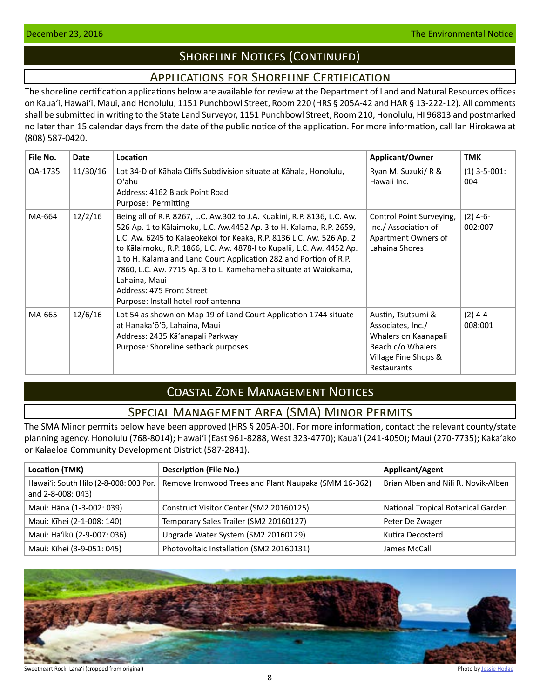# **SHORELINE NOTICES (CONTINUED)**

## Applications for Shoreline Certification

<span id="page-7-0"></span>The shoreline certification applications below are available for review at the Department of Land and Natural Resources offices on Kauaʻi, Hawaiʻi, Maui, and Honolulu, 1151 Punchbowl Street, Room 220 (HRS § 205A-42 and HAR § 13-222-12). All comments shall be submitted in writing to the State Land Surveyor, 1151 Punchbowl Street, Room 210, Honolulu, HI 96813 and postmarked no later than 15 calendar days from the date of the public notice of the application. For more information, call Ian Hirokawa at (808) 587-0420.

| File No. | <b>Date</b> | Location                                                                                                                                                                                                                                                                                                                                                                                                                                                                                                                       | Applicant/Owner                                                                                                             | TMK                   |
|----------|-------------|--------------------------------------------------------------------------------------------------------------------------------------------------------------------------------------------------------------------------------------------------------------------------------------------------------------------------------------------------------------------------------------------------------------------------------------------------------------------------------------------------------------------------------|-----------------------------------------------------------------------------------------------------------------------------|-----------------------|
| OA-1735  | 11/30/16    | Lot 34-D of Kāhala Cliffs Subdivision situate at Kāhala, Honolulu,<br>$O'$ ahu<br>Address: 4162 Black Point Road<br>Purpose: Permitting                                                                                                                                                                                                                                                                                                                                                                                        | Ryan M. Suzuki/ R & I<br>Hawaii Inc.                                                                                        | $(1)$ 3-5-001:<br>004 |
| MA-664   | 12/2/16     | Being all of R.P. 8267, L.C. Aw.302 to J.A. Kuakini, R.P. 8136, L.C. Aw.<br>526 Ap. 1 to Kālaimoku, L.C. Aw.4452 Ap. 3 to H. Kalama, R.P. 2659,<br>L.C. Aw. 6245 to Kalaeokekoi for Keaka, R.P. 8136 L.C. Aw. 526 Ap. 2<br>to Kālaimoku, R.P. 1866, L.C. Aw. 4878-I to Kupalii, L.C. Aw. 4452 Ap.<br>1 to H. Kalama and Land Court Application 282 and Portion of R.P.<br>7860, L.C. Aw. 7715 Ap. 3 to L. Kamehameha situate at Waiokama,<br>Lahaina, Maui<br>Address: 475 Front Street<br>Purpose: Install hotel roof antenna | Control Point Surveying,<br>Inc./ Association of<br>Apartment Owners of<br>Lahaina Shores                                   | $(2)$ 4-6-<br>002:007 |
| MA-665   | 12/6/16     | Lot 54 as shown on Map 19 of Land Court Application 1744 situate<br>at Hanaka'ō'ō, Lahaina, Maui<br>Address: 2435 Kā'anapali Parkway<br>Purpose: Shoreline setback purposes                                                                                                                                                                                                                                                                                                                                                    | Austin, Tsutsumi &<br>Associates, Inc./<br>Whalers on Kaanapali<br>Beach c/o Whalers<br>Village Fine Shops &<br>Restaurants | $(2)$ 4-4-<br>008:001 |

# Coastal Zone Management Notices

## Special Management Area (SMA) Minor Permits

The SMA Minor permits below have been approved (HRS § 205A-30). For more information, contact the relevant county/state planning agency. Honolulu (768-8014); Hawaiʻi (East 961-8288, West 323-4770); Kauaʻi (241-4050); Maui (270-7735); Kakaʻako or Kalaeloa Community Development District (587-2841).

| Location (TMK)                                              | <b>Description (File No.)</b>                        | <b>Applicant/Agent</b>              |
|-------------------------------------------------------------|------------------------------------------------------|-------------------------------------|
| Hawai'i: South Hilo (2-8-008: 003 Por.<br>and 2-8-008: 043) | Remove Ironwood Trees and Plant Naupaka (SMM 16-362) | Brian Alben and Nili R. Novik-Alben |
| Maui: Hāna (1-3-002: 039)                                   | Construct Visitor Center (SM2 20160125)              | National Tropical Botanical Garden  |
| Maui: Kīhei (2-1-008: 140)                                  | Temporary Sales Trailer (SM2 20160127)               | Peter De Zwager                     |
| Maui: Ha'ikū (2-9-007: 036)                                 | Upgrade Water System (SM2 20160129)                  | Kutira Decosterd                    |
| Maui: Kīhei (3-9-051: 045)                                  | Photovoltaic Installation (SM2 20160131)             | James McCall                        |



Sweetheart Rock, Lana'i (cropped from original) **Photo by [Jessie Hodge](https://www.flickr.com/photos/spaceyjessie/20512988044/in/photolist-HAXJw-rw4CSw-xfEqFE-PtWAfc-NaU3Mc-DLtzSR-wSsjpd-cQ4BBj-ny6Yf5-nmp9bW-FnQa4j-nCEPYh-cQ4BRu-83HJTV)** Photo by Jessie Hodge Photo by Jessie Hodge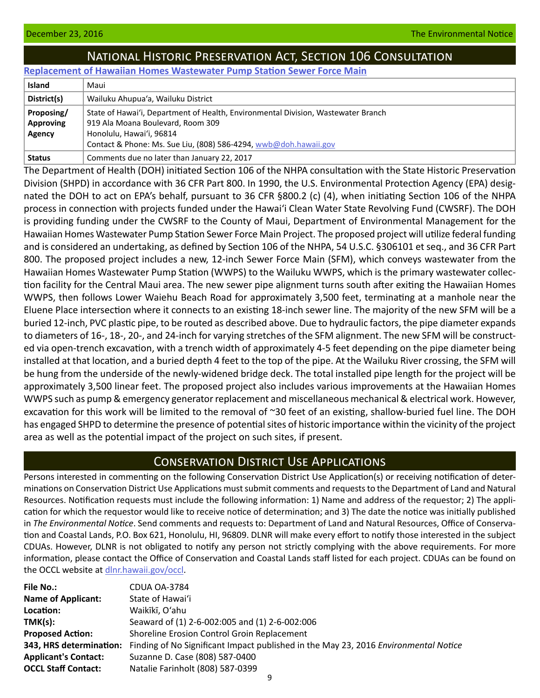# National Historic Preservation Act, Section 106 Consultation

<span id="page-8-0"></span>**[Replacement of Hawaiian Homes Wastewater Pump Station Sewer Force Main](http://oeqc.doh.hawaii.gov/Shared%20Documents/EA_and_EIS_Online_Library/NEPA%20and%20Other%20Documents/2016-12-23-MA-Sec-106-Hawaiian-Homes-Wastewater-Pump-Station-Force-Main-Replacement.pdf)**

| <b>Island</b>    | Maui                                                                              |
|------------------|-----------------------------------------------------------------------------------|
| District(s)      | Wailuku Ahupua'a, Wailuku District                                                |
| Proposing/       | State of Hawai'i, Department of Health, Environmental Division, Wastewater Branch |
| <b>Approving</b> | 919 Ala Moana Boulevard, Room 309                                                 |
| Agency           | Honolulu, Hawai'i, 96814                                                          |
|                  | Contact & Phone: Ms. Sue Liu, (808) 586-4294, wwb@doh.hawaii.gov                  |
| <b>Status</b>    | Comments due no later than January 22, 2017                                       |

The Department of Health (DOH) initiated Section 106 of the NHPA consultation with the State Historic Preservation Division (SHPD) in accordance with 36 CFR Part 800. In 1990, the U.S. Environmental Protection Agency (EPA) designated the DOH to act on EPA's behalf, pursuant to 36 CFR §800.2 (c) (4), when initiating Section 106 of the NHPA process in connection with projects funded under the Hawaiʻi Clean Water State Revolving Fund (CWSRF). The DOH is providing funding under the CWSRF to the County of Maui, Department of Environmental Management for the Hawaiian Homes Wastewater Pump Station Sewer Force Main Project. The proposed project will utilize federal funding and is considered an undertaking, as defined by Section 106 of the NHPA, 54 U.S.C. §306101 et seq., and 36 CFR Part 800. The proposed project includes a new, 12-inch Sewer Force Main (SFM), which conveys wastewater from the Hawaiian Homes Wastewater Pump Station (WWPS) to the Wailuku WWPS, which is the primary wastewater collection facility for the Central Maui area. The new sewer pipe alignment turns south after exiting the Hawaiian Homes WWPS, then follows Lower Waiehu Beach Road for approximately 3,500 feet, terminating at a manhole near the Eluene Place intersection where it connects to an existing 18-inch sewer line. The majority of the new SFM will be a buried 12-inch, PVC plastic pipe, to be routed as described above. Due to hydraulic factors, the pipe diameter expands to diameters of 16-, 18-, 20-, and 24-inch for varying stretches of the SFM alignment. The new SFM will be constructed via open-trench excavation, with a trench width of approximately 4-5 feet depending on the pipe diameter being installed at that location, and a buried depth 4 feet to the top of the pipe. At the Wailuku River crossing, the SFM will be hung from the underside of the newly-widened bridge deck. The total installed pipe length for the project will be approximately 3,500 linear feet. The proposed project also includes various improvements at the Hawaiian Homes WWPS such as pump & emergency generator replacement and miscellaneous mechanical & electrical work. However, excavation for this work will be limited to the removal of ~30 feet of an existing, shallow-buried fuel line. The DOH has engaged SHPD to determine the presence of potential sites of historic importance within the vicinity of the project area as well as the potential impact of the project on such sites, if present.

## Conservation District Use Applications

Persons interested in commenting on the following Conservation District Use Application(s) or receiving notification of determinations on Conservation District Use Applications must submit comments and requests to the Department of Land and Natural Resources. Notification requests must include the following information: 1) Name and address of the requestor; 2) The application for which the requestor would like to receive notice of determination; and 3) The date the notice was initially published in *The Environmental Notice*. Send comments and requests to: Department of Land and Natural Resources, Office of Conserva[tion and Coastal Lands, P.O. Box 621, Honolulu, HI, 96809. DLNR will make every effort to notify those interested in the subject](http://www.dlnr.hawaii.gov/occl)  CDUAs. However, DLNR is not obligated to notify any person not strictly complying with the above requirements. For more information, please contact the Office of Conservation and Coastal Lands staff listed for each project. CDUAs can be found on the OCCL website at [dlnr.hawaii.gov/occl](http://www.dlnr.hawaii.gov/occl).

| <b>File No.:</b>            | CDUA OA-3784                                                                        |
|-----------------------------|-------------------------------------------------------------------------------------|
| <b>Name of Applicant:</b>   | State of Hawai'i                                                                    |
| Location:                   | Waikīkī, O'ahu                                                                      |
| TMK(s):                     | Seaward of (1) 2-6-002:005 and (1) 2-6-002:006                                      |
| <b>Proposed Action:</b>     | Shoreline Erosion Control Groin Replacement                                         |
| 343, HRS determination:     | Finding of No Significant Impact published in the May 23, 2016 Environmental Notice |
| <b>Applicant's Contact:</b> | Suzanne D. Case (808) 587-0400                                                      |
| <b>OCCL Staff Contact:</b>  | Natalie Farinholt (808) 587-0399                                                    |
|                             |                                                                                     |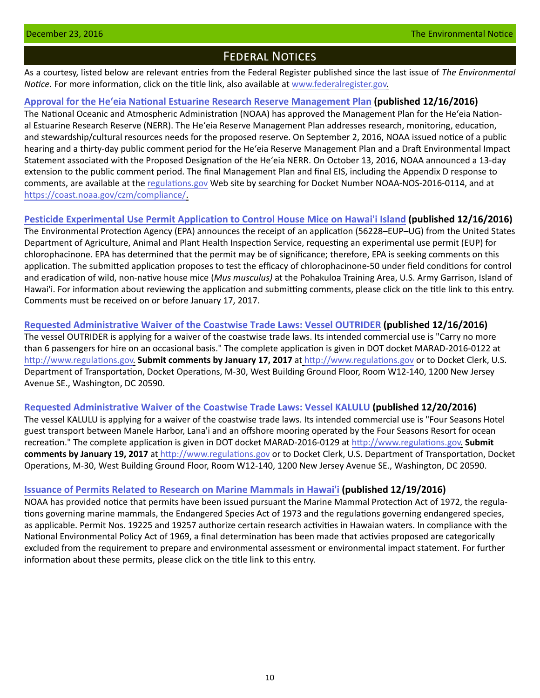## Federal Notices

<span id="page-9-0"></span>As a courtesy, listed below are relevant entries from the Federal Register published since the last issue of *The Environmental Notice*. For more information, click on the title link, also available at [www.federalregister.gov.](http://www.federalregister.gov)

## **[Approval for the Heʻeia National Estuarine Research Reserve Management Plan](https://www.federalregister.gov/documents/2016/12/16/2016-30441/notice-of-approval-for-the-heeia-national-estuarine-research-reserve-management-plan) (published 12/16/2016)**

The National Oceanic and Atmospheric Administration (NOAA) has approved the Management Plan for the Heʻeia National Estuarine Research Reserve (NERR). The Heʻeia Reserve Management Plan addresses research, monitoring, education, and stewardship/cultural resources needs for the proposed reserve. On September 2, 2016, NOAA issued notice of a public hearing and a thirty-day public comment period for the Heʻeia Reserve Management Plan and a Draft Environmental Impact Statement associated with the Proposed Designation of the Heʻeia NERR. On October 13, 2016, NOAA announced a 13-day extension to the public comment period. The final Management Plan and final EIS, including the Appendix D response to comments, are available at the [regulations.gov](http://regulations.gov) Web site by searching for Docket Number NOAA-NOS-2016-0114, and at https://coast.noaa.gov/czm/compliance/.

## **[Pesticide Experimental Use Permit](https://www.gpo.gov/fdsys/pkg/FR-2016-12-16/pdf/2016-30326.pdf) Application to Control House Mice on Hawai'i Island (published 12/16/2016)**

The Environmental Protection Agency (EPA) announces the receipt of an application (56228–EUP–UG) from the United States Department of Agriculture, Animal and Plant Health Inspection Service, requesting an experimental use permit (EUP) for chlorophacinone. EPA has determined that the permit may be of significance; therefore, EPA is seeking comments on this application. The submitted application proposes to test the efficacy of chlorophacinone-50 under field conditions for control and eradication of wild, non-native house mice (*Mus musculus)* at the Pohakuloa Training Area, U.S. Army Garrison, Island of Hawai'i. For information about reviewing the application and submitting comments, please click on the title link to this entry. Comments must be received on or before January 17, 2017.

## **[Requested Administrative Waiver of the Coastwise Trade Laws: Vessel OUTRIDER](https://www.gpo.gov/fdsys/pkg/FR-2016-12-16/pdf/2016-30198.pdf) (published 12/16/2016)**

The vessel OUTRIDER is applying for a waiver of the coastwise trade laws. Its intended commercial use is "Carry no more than 6 passengers for hire on an occasional basis." The complete application is given in DOT docket MARAD-2016-0122 at [http://www.regulations.gov.](http://www.regulations.gov) **Submit comments by January 17, 2017** at <http://www.regulations.gov>or to Docket Clerk, U.S. Department of Transportation, Docket Operations, M-30, West Building Ground Floor, Room W12-140, 1200 New Jersey Avenue SE., Washington, DC 20590.

## **[Requested Administrative Waiver of the Coastwise Trade Laws: Vessel KALULU](https://www.gpo.gov/fdsys/pkg/FR-2016-12-20/pdf/2016-30656.pdf) (published 12/20/2016)**

The vessel KALULU is applying for a waiver of the coastwise trade laws. Its intended commercial use is "Four Seasons Hotel guest transport between Manele Harbor, Lana'i and an offshore mooring operated by the Four Seasons Resort for ocean recreation." The complete application is given in DOT docket MARAD-2016-0129 at [http://www.regulations.gov.](http://www.regulations.gov) **Submit comments by January 19, 2017** at <http://www.regulations.gov> or to Docket Clerk, U.S. Department of Transportation, Docket Operations, M-30, West Building Ground Floor, Room W12-140, 1200 New Jersey Avenue SE., Washington, DC 20590.

## **Issuance of Permits Related to Research on Marine M[ammals in Hawai'i](http://www.gpo.gov/fdsys/pkg/FR-2016-12-19/pdf/2016-30414.pdf) (published 12/19/2016)**

NOAA has provided notice that permits have been issued pursuant the Marine Mammal Protection Act of 1972, the regulations governing marine mammals, the Endangered Species Act of 1973 and the regulations governing endangered species, as applicable. Permit Nos. 19225 and 19257 authorize certain research activities in Hawaian waters. In compliance with the National Environmental Policy Act of 1969, a final determination has been made that activies proposed are categorically excluded from the requirement to prepare and environmental assessment or environmental impact statement. For further information about these permits, please click on the title link to this entry.